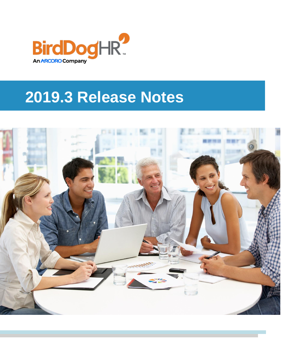

# **2019.3 Release Notes**

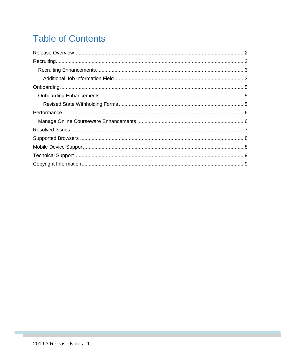# **Table of Contents**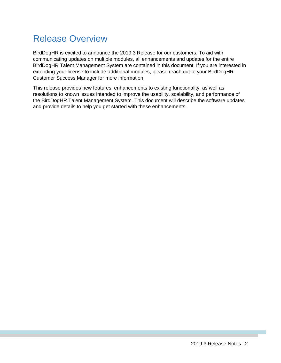### <span id="page-2-0"></span>Release Overview

BirdDogHR is excited to announce the 2019.3 Release for our customers. To aid with communicating updates on multiple modules, all enhancements and updates for the entire BirdDogHR Talent Management System are contained in this document. If you are interested in extending your license to include additional modules, please reach out to your BirdDogHR Customer Success Manager for more information.

This release provides new features, enhancements to existing functionality, as well as resolutions to known issues intended to improve the usability, scalability, and performance of the BirdDogHR Talent Management System. This document will describe the software updates and provide details to help you get started with these enhancements.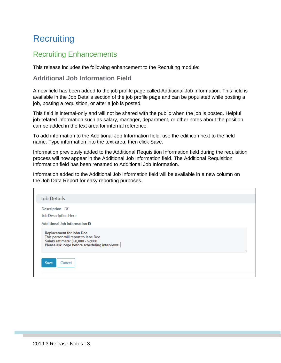### <span id="page-3-0"></span>**Recruiting**

### <span id="page-3-1"></span>Recruiting Enhancements

This release includes the following enhancement to the Recruiting module:

#### <span id="page-3-2"></span>**Additional Job Information Field**

A new field has been added to the job profile page called Additional Job Information. This field is available in the Job Details section of the job profile page and can be populated while posting a job, posting a requisition, or after a job is posted.

This field is internal-only and will not be shared with the public when the job is posted. Helpful job-related information such as salary, manager, department, or other notes about the position can be added in the text area for internal reference.

To add information to the Additional Job Information field, use the edit icon next to the field name. Type information into the text area, then click Save.

Information previously added to the Additional Requisition Information field during the requisition process will now appear in the Additional Job Information field. The Additional Requisition Information field has been renamed to Additional Job Information.

Information added to the Additional Job Information field will be available in a new column on the Job Data Report for easy reporting purposes.

| <b>Job Details</b>                                                                                                                                             |  |
|----------------------------------------------------------------------------------------------------------------------------------------------------------------|--|
| Description $\mathbb Z$<br><b>Job Description Here</b><br>Additional Job Information <sup>O</sup>                                                              |  |
| <b>Replacement for John Doe</b><br>This person will report to Jane Doe<br>Salary estimate: \$50,000 - 57,000<br>Please ask Jorge before scheduling interviews! |  |
| Save<br>Cancel                                                                                                                                                 |  |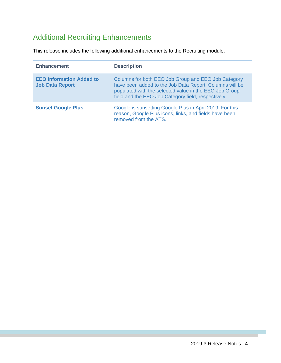### Additional Recruiting Enhancements

This release includes the following additional enhancements to the Recruiting module:

| <b>Enhancement</b>                                        | <b>Description</b>                                                                                                                                                                                                              |
|-----------------------------------------------------------|---------------------------------------------------------------------------------------------------------------------------------------------------------------------------------------------------------------------------------|
| <b>EEO Information Added to</b><br><b>Job Data Report</b> | Columns for both EEO Job Group and EEO Job Category<br>have been added to the Job Data Report. Columns will be<br>populated with the selected value in the EEO Job Group<br>field and the EEO Job Category field, respectively. |
| <b>Sunset Google Plus</b>                                 | Google is sunsetting Google Plus in April 2019. For this<br>reason, Google Plus icons, links, and fields have been<br>removed from the ATS.                                                                                     |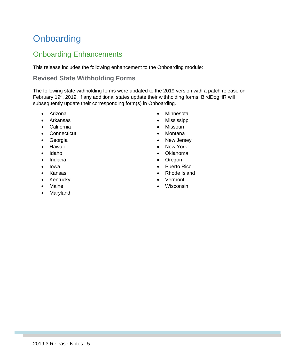# <span id="page-5-0"></span>**Onboarding**

### <span id="page-5-1"></span>Onboarding Enhancements

This release includes the following enhancement to the Onboarding module:

#### <span id="page-5-2"></span>**Revised State Withholding Forms**

The following state withholding forms were updated to the 2019 version with a patch release on February 19<sup>th</sup>, 2019. If any additional states update their withholding forms, BirdDogHR will subsequently update their corresponding form(s) in Onboarding.

- Arizona
- Arkansas
- California
- Connecticut
- Georgia
- Hawaii
- Idaho
- Indiana
- Iowa
- Kansas
- Kentucky
- Maine
- Maryland
- Minnesota
- Mississippi
- Missouri
- Montana
- New Jersey
- New York
- Oklahoma
- Oregon
- Puerto Rico
- Rhode Island
- Vermont
- Wisconsin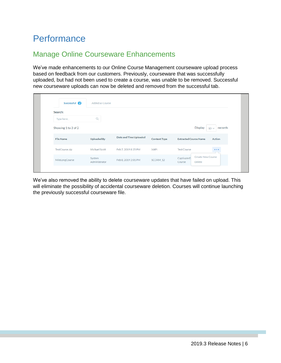### <span id="page-6-0"></span>**Performance**

### <span id="page-6-1"></span>Manage Online Courseware Enhancements

We've made enhancements to our Online Course Management courseware upload process based on feedback from our customers. Previously, courseware that was successfully uploaded, but had not been used to create a course, was unable to be removed. Successful new courseware uploads can now be deleted and removed from the successful tab.

| Successful 2        | Added as Course         |                        |                     |                                                              |
|---------------------|-------------------------|------------------------|---------------------|--------------------------------------------------------------|
| Search:             |                         |                        |                     |                                                              |
| Type here           | Q                       |                        |                     |                                                              |
| Showing 1 to 2 of 2 |                         |                        |                     | <b>Display</b><br>records<br>$10 \vee$                       |
| <b>File Name</b>    | <b>Uploaded By</b>      | Date and Time Uploaded | <b>Content Type</b> | <b>Action</b><br><b>Extracted Course Name</b>                |
| TestCourse.zip      | Michael Scott           | Feb 7, 2019 8:35 PM    | <b>XAPI</b>         | <b>Test Course</b>                                           |
| MileLongCourse      | System<br>Administrator | Feb 8, 2019 2:01 PM    | SCORM_12            | Create New Course<br>Captivate E-<br><b>Delete</b><br>Course |

We've also removed the ability to delete courseware updates that have failed on upload. This will eliminate the possibility of accidental courseware deletion. Courses will continue launching the previously successful courseware file.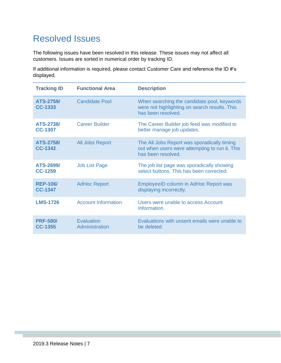### <span id="page-7-0"></span>Resolved Issues

The following issues have been resolved in this release. These issues may not affect all customers. Issues are sorted in numerical order by tracking ID.

If additional information is required, please contact Customer Care and reference the ID #'s displayed.

| <b>Tracking ID</b>                 | <b>Functional Area</b>       | <b>Description</b>                                                                                                  |
|------------------------------------|------------------------------|---------------------------------------------------------------------------------------------------------------------|
| <b>ATS-2759/</b><br><b>CC-1333</b> | <b>Candidate Pool</b>        | When searching the candidate pool, keywords<br>were not highlighting on search results. This<br>has been resolved.  |
| <b>ATS-2738/</b><br><b>CC-1307</b> | <b>Career Builder</b>        | The Career Builder job feed was modified to<br>better manage job updates.                                           |
| <b>ATS-2758/</b><br><b>CC-1342</b> | All Jobs Report              | The All Jobs Report was sporadically timing<br>out when users were attempting to run it. This<br>has been resolved. |
| ATS-2699/<br>CC-1259               | <b>Job List Page</b>         | The job list page was sporadically showing<br>select buttons. This has been corrected.                              |
| <b>REP-106/</b><br>CC-1347         | <b>AdHoc Report</b>          | EmployeeID column in AdHoc Report was<br>displaying incorrectly.                                                    |
| <b>LMS-1726</b>                    | <b>Account Information</b>   | Users were unable to access Account<br>Information.                                                                 |
| <b>PRF-580/</b><br><b>CC-1355</b>  | Evaluation<br>Administration | Evaluations with unsent emails were unable to<br>be deleted.                                                        |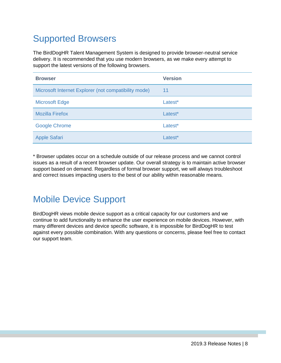# <span id="page-8-0"></span>Supported Browsers

The BirdDogHR Talent Management System is designed to provide browser-neutral service delivery. It is recommended that you use modern browsers, as we make every attempt to support the latest versions of the following browsers.

| <b>Browser</b>                                       | <b>Version</b> |
|------------------------------------------------------|----------------|
| Microsoft Internet Explorer (not compatibility mode) | 11             |
| <b>Microsoft Edge</b>                                | Latest*        |
| <b>Mozilla Firefox</b>                               | Latest*        |
| <b>Google Chrome</b>                                 | Latest*        |
| <b>Apple Safari</b>                                  | Latest*        |

\* Browser updates occur on a schedule outside of our release process and we cannot control issues as a result of a recent browser update. Our overall strategy is to maintain active browser support based on demand. Regardless of formal browser support, we will always troubleshoot and correct issues impacting users to the best of our ability within reasonable means.

### <span id="page-8-1"></span>Mobile Device Support

BirdDogHR views mobile device support as a critical capacity for our customers and we continue to add functionality to enhance the user experience on mobile devices. However, with many different devices and device specific software, it is impossible for BirdDogHR to test against every possible combination. With any questions or concerns, please feel free to contact our support team.